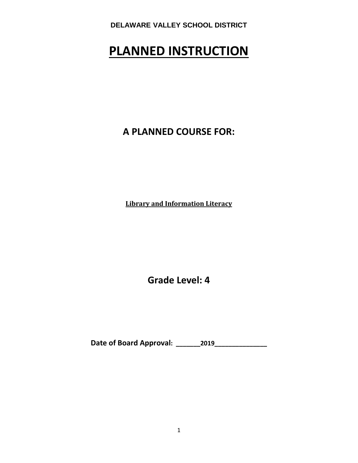# **PLANNED INSTRUCTION**

**A PLANNED COURSE FOR:**

**Library and Information Literacy**

**Grade Level: 4**

**Date of Board Approval: \_\_\_\_\_\_\_2019\_\_\_\_\_\_\_\_\_\_\_\_\_\_\_**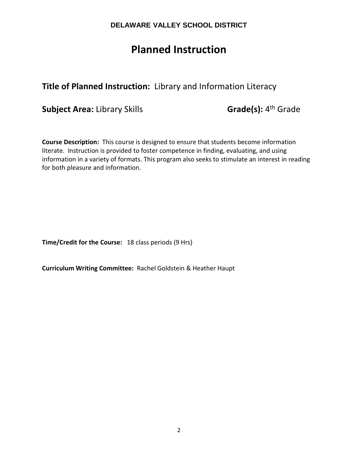# **Planned Instruction**

# **Title of Planned Instruction:** Library and Information Literacy

**Subject Area:** Library Skills **Grade(s):** 4<sup>th</sup> Grade

**Course Description:** This course is designed to ensure that students become information literate. Instruction is provided to foster competence in finding, evaluating, and using information in a variety of formats. This program also seeks to stimulate an interest in reading for both pleasure and information.

**Time/Credit for the Course:** 18 class periods (9 Hrs)

**Curriculum Writing Committee:** Rachel Goldstein & Heather Haupt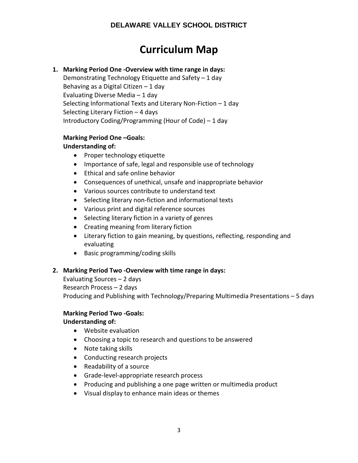# **Curriculum Map**

### **1. Marking Period One -Overview with time range in days:**

Demonstrating Technology Etiquette and Safety – 1 day Behaving as a Digital Citizen  $-1$  day Evaluating Diverse Media – 1 day Selecting Informational Texts and Literary Non-Fiction – 1 day Selecting Literary Fiction – 4 days Introductory Coding/Programming (Hour of Code) – 1 day

# **Marking Period One –Goals:**

### **Understanding of:**

- Proper technology etiquette
- Importance of safe, legal and responsible use of technology
- Ethical and safe online behavior
- Consequences of unethical, unsafe and inappropriate behavior
- Various sources contribute to understand text
- Selecting literary non-fiction and informational texts
- Various print and digital reference sources
- Selecting literary fiction in a variety of genres
- Creating meaning from literary fiction
- Literary fiction to gain meaning, by questions, reflecting, responding and evaluating
- Basic programming/coding skills

### **2. Marking Period Two -Overview with time range in days:**

Evaluating Sources – 2 days Research Process – 2 days Producing and Publishing with Technology/Preparing Multimedia Presentations – 5 days

### **Marking Period Two -Goals:**

### **Understanding of:**

- Website evaluation
- Choosing a topic to research and questions to be answered
- Note taking skills
- Conducting research projects
- Readability of a source
- Grade-level-appropriate research process
- Producing and publishing a one page written or multimedia product
- Visual display to enhance main ideas or themes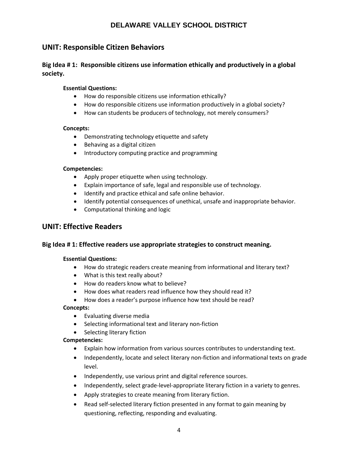### **UNIT: Responsible Citizen Behaviors**

**Big Idea # 1: Responsible citizens use information ethically and productively in a global society.** 

### **Essential Questions:**

- How do responsible citizens use information ethically?
- How do responsible citizens use information productively in a global society?
- How can students be producers of technology, not merely consumers?

### **Concepts:**

- Demonstrating technology etiquette and safety
- Behaving as a digital citizen
- Introductory computing practice and programming

### **Competencies:**

- Apply proper etiquette when using technology.
- Explain importance of safe, legal and responsible use of technology.
- Identify and practice ethical and safe online behavior.
- Identify potential consequences of unethical, unsafe and inappropriate behavior.
- Computational thinking and logic

### **UNIT: Effective Readers**

### **Big Idea # 1: Effective readers use appropriate strategies to construct meaning.**

### **Essential Questions:**

- How do strategic readers create meaning from informational and literary text?
- What is this text really about?
- How do readers know what to believe?
- How does what readers read influence how they should read it?
- How does a reader's purpose influence how text should be read?

### **Concepts:**

- Evaluating diverse media
- Selecting informational text and literary non-fiction
- Selecting literary fiction

#### **Competencies:**

- Explain how information from various sources contributes to understanding text.
- Independently, locate and select literary non-fiction and informational texts on grade level.
- Independently, use various print and digital reference sources.
- Independently, select grade-level-appropriate literary fiction in a variety to genres.
- Apply strategies to create meaning from literary fiction.
- Read self-selected literary fiction presented in any format to gain meaning by questioning, reflecting, responding and evaluating.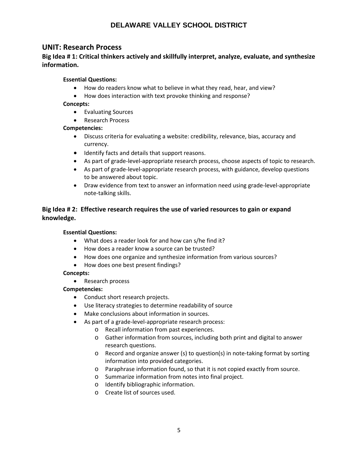### **UNIT: Research Process**

### **Big Idea # 1: Critical thinkers actively and skillfully interpret, analyze, evaluate, and synthesize information.**

### **Essential Questions:**

- How do readers know what to believe in what they read, hear, and view?
- How does interaction with text provoke thinking and response?

### **Concepts:**

- Evaluating Sources
- Research Process

### **Competencies:**

- Discuss criteria for evaluating a website: credibility, relevance, bias, accuracy and currency.
- Identify facts and details that support reasons.
- As part of grade-level-appropriate research process, choose aspects of topic to research.
- As part of grade-level-appropriate research process, with guidance, develop questions to be answered about topic.
- Draw evidence from text to answer an information need using grade-level-appropriate note-talking skills.

### **Big Idea # 2: Effective research requires the use of varied resources to gain or expand knowledge.**

### **Essential Questions:**

- What does a reader look for and how can s/he find it?
- How does a reader know a source can be trusted?
- How does one organize and synthesize information from various sources?
- How does one best present findings?

### **Concepts:**

• Research process

### **Competencies:**

- Conduct short research projects.
- Use literacy strategies to determine readability of source
- Make conclusions about information in sources.
- As part of a grade-level-appropriate research process:
	- o Recall information from past experiences.
	- o Gather information from sources, including both print and digital to answer research questions.
	- o Record and organize answer (s) to question(s) in note-taking format by sorting information into provided categories.
	- o Paraphrase information found, so that it is not copied exactly from source.
	- o Summarize information from notes into final project.
	- o Identify bibliographic information.
	- o Create list of sources used.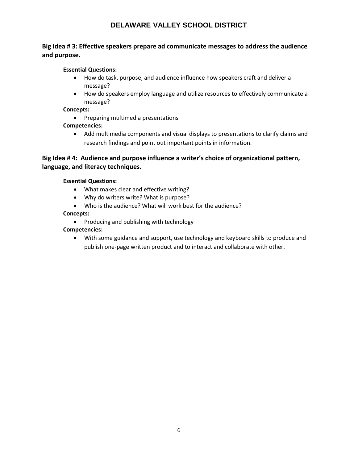### **Big Idea # 3: Effective speakers prepare ad communicate messages to address the audience and purpose.**

### **Essential Questions:**

- How do task, purpose, and audience influence how speakers craft and deliver a message?
- How do speakers employ language and utilize resources to effectively communicate a message?

### **Concepts:**

• Preparing multimedia presentations

### **Competencies:**

• Add multimedia components and visual displays to presentations to clarify claims and research findings and point out important points in information.

### **Big Idea # 4: Audience and purpose influence a writer's choice of organizational pattern, language, and literacy techniques.**

### **Essential Questions:**

- What makes clear and effective writing?
- Why do writers write? What is purpose?
- Who is the audience? What will work best for the audience?

### **Concepts:**

• Producing and publishing with technology

### **Competencies:**

• With some guidance and support, use technology and keyboard skills to produce and publish one-page written product and to interact and collaborate with other.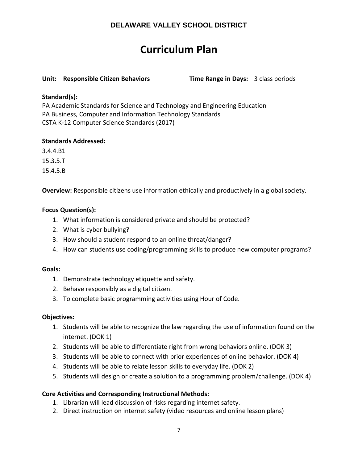# **Curriculum Plan**

### **Unit: Responsible Citizen Behaviors Time Range in Days:** 3 class periods

### **Standard(s):**

PA Academic Standards for Science and Technology and Engineering Education PA Business, Computer and Information Technology Standards CSTA K-12 Computer Science Standards (2017)

### **Standards Addressed:**

3.4.4.B1

15.3.5.T

15.4.5.B

**Overview:** Responsible citizens use information ethically and productively in a global society.

### **Focus Question(s):**

- 1. What information is considered private and should be protected?
- 2. What is cyber bullying?
- 3. How should a student respond to an online threat/danger?
- 4. How can students use coding/programming skills to produce new computer programs?

### **Goals:**

- 1. Demonstrate technology etiquette and safety.
- 2. Behave responsibly as a digital citizen.
- 3. To complete basic programming activities using Hour of Code.

### **Objectives:**

- 1. Students will be able to recognize the law regarding the use of information found on the internet. (DOK 1)
- 2. Students will be able to differentiate right from wrong behaviors online. (DOK 3)
- 3. Students will be able to connect with prior experiences of online behavior. (DOK 4)
- 4. Students will be able to relate lesson skills to everyday life. (DOK 2)
- 5. Students will design or create a solution to a programming problem/challenge. (DOK 4)

### **Core Activities and Corresponding Instructional Methods:**

- 1. Librarian will lead discussion of risks regarding internet safety.
- 2. Direct instruction on internet safety (video resources and online lesson plans)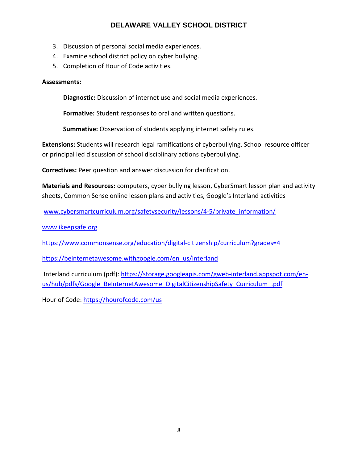- 3. Discussion of personal social media experiences.
- 4. Examine school district policy on cyber bullying.
- 5. Completion of Hour of Code activities.

### **Assessments:**

**Diagnostic:** Discussion of internet use and social media experiences.

**Formative:** Student responses to oral and written questions.

**Summative:** Observation of students applying internet safety rules.

**Extensions:** Students will research legal ramifications of cyberbullying. School resource officer or principal led discussion of school disciplinary actions cyberbullying.

**Correctives:** Peer question and answer discussion for clarification.

**Materials and Resources:** computers, cyber bullying lesson, CyberSmart lesson plan and activity sheets, Common Sense online lesson plans and activities, Google's Interland activities

[www.cybersmartcurriculum.org/safetysecurity/lessons/4-5/private\\_information/](http://www.cybersmartcurriculum.org/safetysecurity/lessons/4-5/private_information/)

[www.ikeepsafe.org](http://www.ikeepsafe.org/)

<https://www.commonsense.org/education/digital-citizenship/curriculum?grades=4>

[https://beinternetawesome.withgoogle.com/en\\_us/interland](https://beinternetawesome.withgoogle.com/en_us/interland)

Interland curriculum (pdf)[: https://storage.googleapis.com/gweb-interland.appspot.com/en](https://storage.googleapis.com/gweb-interland.appspot.com/en-us/hub/pdfs/Google_BeInternetAwesome_DigitalCitizenshipSafety_Curriculum_.pdf)[us/hub/pdfs/Google\\_BeInternetAwesome\\_DigitalCitizenshipSafety\\_Curriculum\\_.pdf](https://storage.googleapis.com/gweb-interland.appspot.com/en-us/hub/pdfs/Google_BeInternetAwesome_DigitalCitizenshipSafety_Curriculum_.pdf)

Hour of Code[: https://hourofcode.com/us](https://hourofcode.com/us)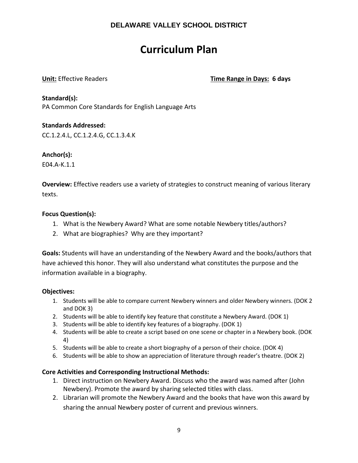# **Curriculum Plan**

**Unit:** Effective Readers **Time Range in Days: 6 days**

**Standard(s):** 

PA Common Core Standards for English Language Arts

### **Standards Addressed:**

CC.1.2.4.L, CC.1.2.4.G, CC.1.3.4.K

### **Anchor(s):**

E04.A-K.1.1

**Overview:** Effective readers use a variety of strategies to construct meaning of various literary texts.

### **Focus Question(s):**

- 1. What is the Newbery Award? What are some notable Newbery titles/authors?
- 2. What are biographies? Why are they important?

**Goals:** Students will have an understanding of the Newbery Award and the books/authors that have achieved this honor. They will also understand what constitutes the purpose and the information available in a biography.

### **Objectives:**

- 1. Students will be able to compare current Newbery winners and older Newbery winners. (DOK 2 and DOK 3)
- 2. Students will be able to identify key feature that constitute a Newbery Award. (DOK 1)
- 3. Students will be able to identify key features of a biography. (DOK 1)
- 4. Students will be able to create a script based on one scene or chapter in a Newbery book. (DOK 4)
- 5. Students will be able to create a short biography of a person of their choice. (DOK 4)
- 6. Students will be able to show an appreciation of literature through reader's theatre. (DOK 2)

### **Core Activities and Corresponding Instructional Methods:**

- 1. Direct instruction on Newbery Award. Discuss who the award was named after (John Newbery). Promote the award by sharing selected titles with class.
- 2. Librarian will promote the Newbery Award and the books that have won this award by sharing the annual Newbery poster of current and previous winners.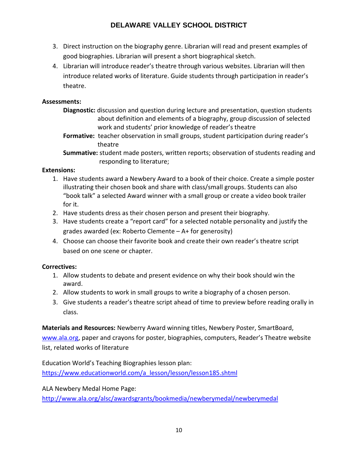- 3. Direct instruction on the biography genre. Librarian will read and present examples of good biographies. Librarian will present a short biographical sketch.
- 4. Librarian will introduce reader's theatre through various websites. Librarian will then introduce related works of literature. Guide students through participation in reader's theatre.

### **Assessments:**

- **Diagnostic:** discussion and question during lecture and presentation, question students about definition and elements of a biography, group discussion of selected work and students' prior knowledge of reader's theatre
- **Formative:** teacher observation in small groups, student participation during reader's theatre

**Summative:** student made posters, written reports; observation of students reading and responding to literature;

### **Extensions:**

- 1. Have students award a Newbery Award to a book of their choice. Create a simple poster illustrating their chosen book and share with class/small groups. Students can also "book talk" a selected Award winner with a small group or create a video book trailer for it.
- 2. Have students dress as their chosen person and present their biography.
- 3. Have students create a "report card" for a selected notable personality and justify the grades awarded (ex: Roberto Clemente – A+ for generosity)
- 4. Choose can choose their favorite book and create their own reader's theatre script based on one scene or chapter.

### **Correctives:**

- 1. Allow students to debate and present evidence on why their book should win the award.
- 2. Allow students to work in small groups to write a biography of a chosen person.
- 3. Give students a reader's theatre script ahead of time to preview before reading orally in class.

**Materials and Resources:** Newberry Award winning titles, Newbery Poster, SmartBoard, [www.ala.org,](http://www.ala.org/) paper and crayons for poster, biographies, computers, Reader's Theatre website list, related works of literature

Education World's Teaching Biographies lesson plan: [https://www.educationworld.com/a\\_lesson/lesson/lesson185.shtml](https://www.educationworld.com/a_lesson/lesson/lesson185.shtml)

ALA Newbery Medal Home Page:

<http://www.ala.org/alsc/awardsgrants/bookmedia/newberymedal/newberymedal>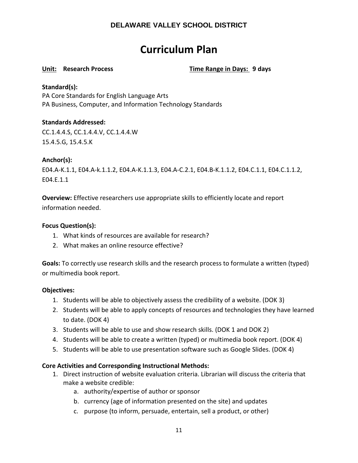# **Curriculum Plan**

**Unit: Research Process Time Range in Days: 9 days**

### **Standard(s):**

PA Core Standards for English Language Arts PA Business, Computer, and Information Technology Standards

### **Standards Addressed:**

CC.1.4.4.S, CC.1.4.4.V, CC.1.4.4.W 15.4.5.G, 15.4.5.K

### **Anchor(s):**

E04.A-K.1.1, E04.A-k.1.1.2, E04.A-K.1.1.3, E04.A-C.2.1, E04.B-K.1.1.2, E04.C.1.1, E04.C.1.1.2, E04.E.1.1

**Overview:** Effective researchers use appropriate skills to efficiently locate and report information needed.

### **Focus Question(s):**

- 1. What kinds of resources are available for research?
- 2. What makes an online resource effective?

**Goals:** To correctly use research skills and the research process to formulate a written (typed) or multimedia book report.

### **Objectives:**

- 1. Students will be able to objectively assess the credibility of a website. (DOK 3)
- 2. Students will be able to apply concepts of resources and technologies they have learned to date. (DOK 4)
- 3. Students will be able to use and show research skills. (DOK 1 and DOK 2)
- 4. Students will be able to create a written (typed) or multimedia book report. (DOK 4)
- 5. Students will be able to use presentation software such as Google Slides. (DOK 4)

### **Core Activities and Corresponding Instructional Methods:**

- 1. Direct instruction of website evaluation criteria. Librarian will discuss the criteria that make a website credible:
	- a. authority/expertise of author or sponsor
	- b. currency (age of information presented on the site) and updates
	- c. purpose (to inform, persuade, entertain, sell a product, or other)